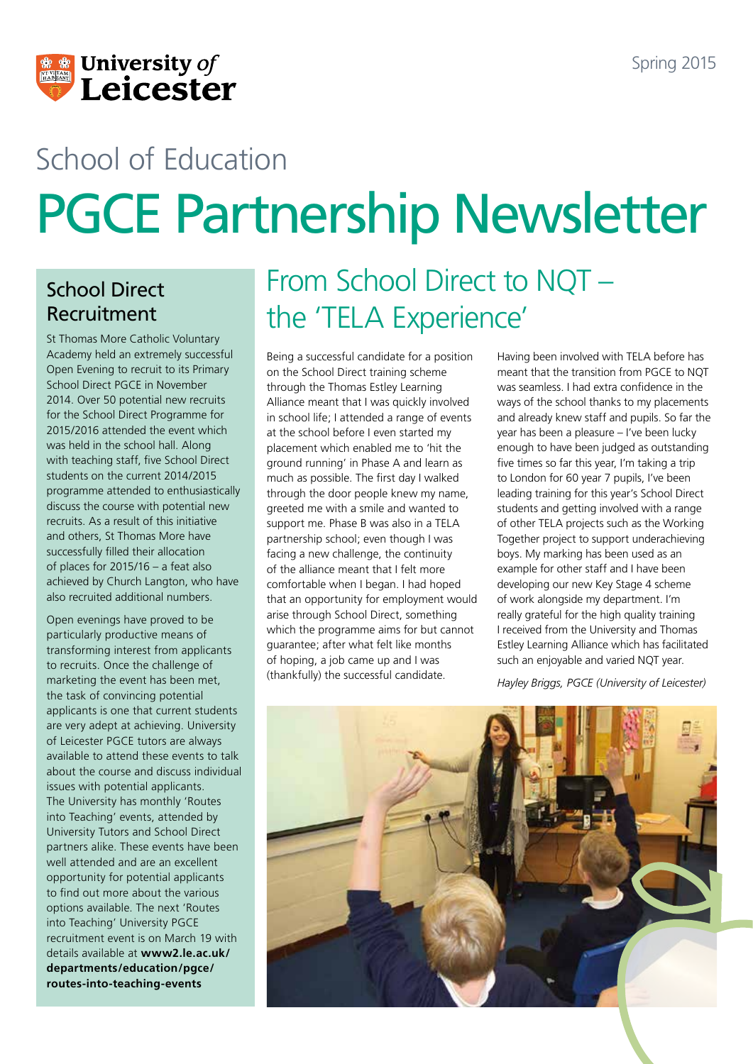

# School of Education PGCE Partnership Newsletter

### School Direct Recruitment

St Thomas More Catholic Voluntary Academy held an extremely successful Open Evening to recruit to its Primary School Direct PGCE in November 2014. Over 50 potential new recruits for the School Direct Programme for 2015/2016 attended the event which was held in the school hall. Along with teaching staff, five School Direct students on the current 2014/2015 programme attended to enthusiastically discuss the course with potential new recruits. As a result of this initiative and others, St Thomas More have successfully filled their allocation of places for 2015/16 – a feat also achieved by Church Langton, who have also recruited additional numbers.

Open evenings have proved to be particularly productive means of transforming interest from applicants to recruits. Once the challenge of marketing the event has been met, the task of convincing potential applicants is one that current students are very adept at achieving. University of Leicester PGCE tutors are always available to attend these events to talk about the course and discuss individual issues with potential applicants. The University has monthly 'Routes into Teaching' events, attended by University Tutors and School Direct partners alike. These events have been well attended and are an excellent opportunity for potential applicants to find out more about the various options available. The next 'Routes into Teaching' University PGCE recruitment event is on March 19 with details available at **[www2.le.ac.uk/](www2.le.ac.uk/departments/education/pgce/routes-into-teaching-events) [departments/education/pgce/](www2.le.ac.uk/departments/education/pgce/routes-into-teaching-events) [routes-into-teaching-events](www2.le.ac.uk/departments/education/pgce/routes-into-teaching-events)**

### From School Direct to NQT – the 'TELA Experience'

Being a successful candidate for a position on the School Direct training scheme through the Thomas Estley Learning Alliance meant that I was quickly involved in school life; I attended a range of events at the school before I even started my placement which enabled me to 'hit the ground running' in Phase A and learn as much as possible. The first day I walked through the door people knew my name, greeted me with a smile and wanted to support me. Phase B was also in a TELA partnership school; even though I was facing a new challenge, the continuity of the alliance meant that I felt more comfortable when I began. I had hoped that an opportunity for employment would arise through School Direct, something which the programme aims for but cannot guarantee; after what felt like months of hoping, a job came up and I was (thankfully) the successful candidate.

Having been involved with TELA before has meant that the transition from PGCE to NQT was seamless. I had extra confidence in the ways of the school thanks to my placements and already knew staff and pupils. So far the year has been a pleasure – I've been lucky enough to have been judged as outstanding five times so far this year, I'm taking a trip to London for 60 year 7 pupils, I've been leading training for this year's School Direct students and getting involved with a range of other TELA projects such as the Working Together project to support underachieving boys. My marking has been used as an example for other staff and I have been developing our new Key Stage 4 scheme of work alongside my department. I'm really grateful for the high quality training I received from the University and Thomas Estley Learning Alliance which has facilitated such an enjoyable and varied NQT year.

*Hayley Briggs, PGCE (University of Leicester)*

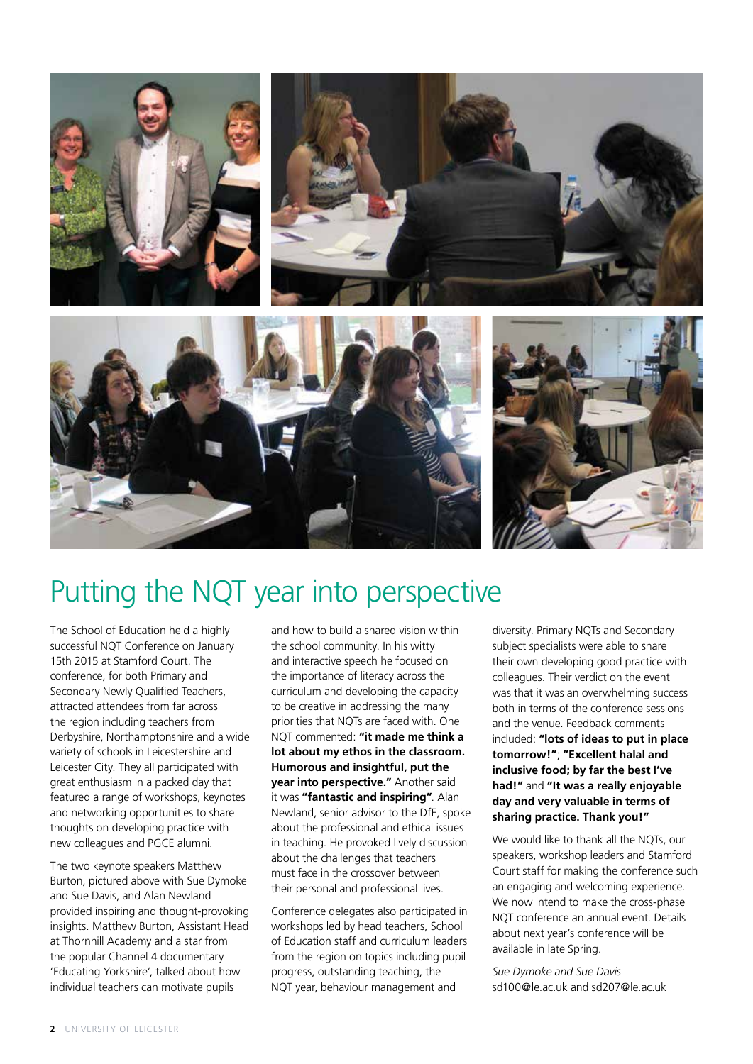

### Putting the NQT year into perspective

The School of Education held a highly successful NQT Conference on January 15th 2015 at Stamford Court. The conference, for both Primary and Secondary Newly Qualified Teachers, attracted attendees from far across the region including teachers from Derbyshire, Northamptonshire and a wide variety of schools in Leicestershire and Leicester City. They all participated with great enthusiasm in a packed day that featured a range of workshops, keynotes and networking opportunities to share thoughts on developing practice with new colleagues and PGCE alumni.

The two keynote speakers Matthew Burton, pictured above with Sue Dymoke and Sue Davis, and Alan Newland provided inspiring and thought-provoking insights. Matthew Burton, Assistant Head at Thornhill Academy and a star from the popular Channel 4 documentary 'Educating Yorkshire', talked about how individual teachers can motivate pupils

and how to build a shared vision within the school community. In his witty and interactive speech he focused on the importance of literacy across the curriculum and developing the capacity to be creative in addressing the many priorities that NQTs are faced with. One NQT commented: **"it made me think a lot about my ethos in the classroom. Humorous and insightful, put the year into perspective."** Another said it was **"fantastic and inspiring"**. Alan Newland, senior advisor to the DfE, spoke about the professional and ethical issues in teaching. He provoked lively discussion about the challenges that teachers must face in the crossover between their personal and professional lives.

Conference delegates also participated in workshops led by head teachers, School of Education staff and curriculum leaders from the region on topics including pupil progress, outstanding teaching, the NQT year, behaviour management and

diversity. Primary NQTs and Secondary subject specialists were able to share their own developing good practice with colleagues. Their verdict on the event was that it was an overwhelming success both in terms of the conference sessions and the venue. Feedback comments included: **"lots of ideas to put in place tomorrow!"**; **"Excellent halal and inclusive food; by far the best I've had!"** and **"It was a really enjoyable day and very valuable in terms of sharing practice. Thank you!"**

We would like to thank all the NQTs, our speakers, workshop leaders and Stamford Court staff for making the conference such an engaging and welcoming experience. We now intend to make the cross-phase NQT conference an annual event. Details about next year's conference will be available in late Spring.

*Sue Dymoke and Sue Davis* sd100@le.ac.uk and sd207@le.ac.uk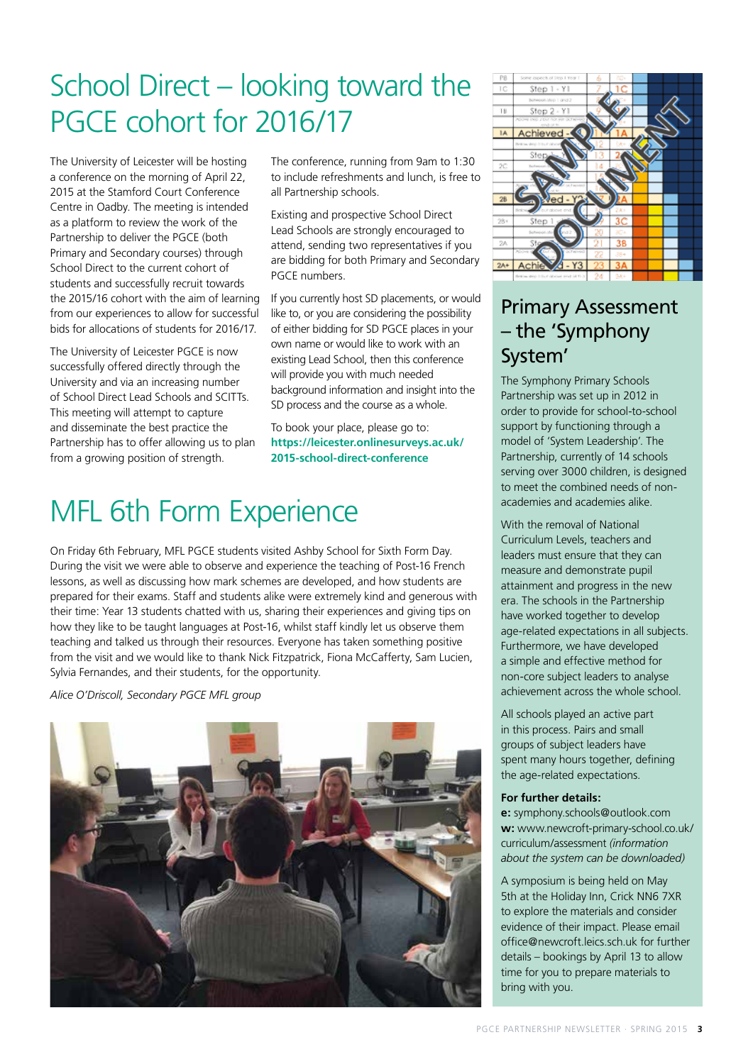### School Direct – looking toward the PGCE cohort for 2016/17

The University of Leicester will be hosting a conference on the morning of April 22, 2015 at the Stamford Court Conference Centre in Oadby. The meeting is intended as a platform to review the work of the Partnership to deliver the PGCE (both Primary and Secondary courses) through School Direct to the current cohort of students and successfully recruit towards the 2015/16 cohort with the aim of learning from our experiences to allow for successful bids for allocations of students for 2016/17.

The University of Leicester PGCE is now successfully offered directly through the University and via an increasing number of School Direct Lead Schools and SCITTs. This meeting will attempt to capture and disseminate the best practice the Partnership has to offer allowing us to plan from a growing position of strength.

The conference, running from 9am to 1:30 to include refreshments and lunch, is free to all Partnership schools.

Existing and prospective School Direct Lead Schools are strongly encouraged to attend, sending two representatives if you are bidding for both Primary and Secondary PGCE numbers.

If you currently host SD placements, or would like to, or you are considering the possibility of either bidding for SD PGCE places in your own name or would like to work with an existing Lead School, then this conference will provide you with much needed background information and insight into the SD process and the course as a whole.

To book your place, please go to: **[https://leicester.onlinesurveys.ac.uk/](https://leicester.onlinesurveys.ac.uk/2015-school-direct-conference) [2015-school-direct-conference](https://leicester.onlinesurveys.ac.uk/2015-school-direct-conference)**

### MFL 6th Form Experience

On Friday 6th February, MFL PGCE students visited Ashby School for Sixth Form Day. During the visit we were able to observe and experience the teaching of Post-16 French lessons, as well as discussing how mark schemes are developed, and how students are prepared for their exams. Staff and students alike were extremely kind and generous with their time: Year 13 students chatted with us, sharing their experiences and giving tips on how they like to be taught languages at Post-16, whilst staff kindly let us observe them teaching and talked us through their resources. Everyone has taken something positive from the visit and we would like to thank Nick Fitzpatrick, Fiona McCafferty, Sam Lucien, Sylvia Fernandes, and their students, for the opportunity.

*Alice O'Driscoll, Secondary PGCE MFL group*





### Primary Assessment – the 'Symphony System'

The Symphony Primary Schools Partnership was set up in 2012 in order to provide for school-to-school support by functioning through a model of 'System Leadership'. The Partnership, currently of 14 schools serving over 3000 children, is designed to meet the combined needs of nonacademies and academies alike.

With the removal of National Curriculum Levels, teachers and leaders must ensure that they can measure and demonstrate pupil attainment and progress in the new era. The schools in the Partnership have worked together to develop age-related expectations in all subjects. Furthermore, we have developed a simple and effective method for non-core subject leaders to analyse achievement across the whole school.

All schools played an active part in this process. Pairs and small groups of subject leaders have spent many hours together, defining the age-related expectations.

#### **For further details:**

**e:** symphony.schools@outlook.com **w:** [www.newcroft-primary-school.co.uk/](www.newcroft-primary-school.co.uk/curriculum/assessment) [curriculum/assessment](www.newcroft-primary-school.co.uk/curriculum/assessment) *(information about the system can be downloaded)*

A symposium is being held on May 5th at the Holiday Inn, Crick NN6 7XR to explore the materials and consider evidence of their impact. Please email office@newcroft.leics.sch.uk for further details – bookings by April 13 to allow time for you to prepare materials to bring with you.